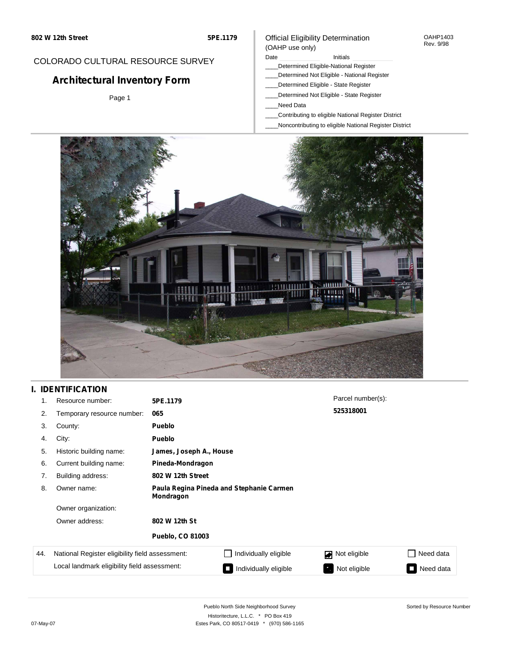### COLORADO CULTURAL RESOURCE SURVEY

# **Architectural Inventory Form**

Page 1

#### Official Eligibility Determination (OAHP use only)

Date **Initials** Initials

- \_\_\_\_Determined Eligible-National Register
- \_\_\_\_Determined Not Eligible National Register
- \_\_\_\_Determined Eligible State Register
- \_\_\_\_Determined Not Eligible State Register
- \_\_\_\_Need Data
- \_\_\_\_Contributing to eligible National Register District
- \_\_\_\_Noncontributing to eligible National Register District



## **I. IDENTIFICATION**

| 1.  | Resource number:                                                                                | 5PE.1179                                              |                         | Parcel number(s): |           |
|-----|-------------------------------------------------------------------------------------------------|-------------------------------------------------------|-------------------------|-------------------|-----------|
| 2.  | Temporary resource number:                                                                      | 065                                                   |                         | 525318001         |           |
| 3.  | County:                                                                                         | <b>Pueblo</b>                                         |                         |                   |           |
| 4.  | City:                                                                                           | <b>Pueblo</b>                                         |                         |                   |           |
| 5.  | Historic building name:                                                                         |                                                       | James, Joseph A., House |                   |           |
| 6.  | Current building name:                                                                          | Pineda-Mondragon                                      |                         |                   |           |
| 7.  | Building address:                                                                               | 802 W 12th Street                                     |                         |                   |           |
| 8.  | Owner name:                                                                                     | Paula Regina Pineda and Stephanie Carmen<br>Mondragon |                         |                   |           |
|     | Owner organization:                                                                             |                                                       |                         |                   |           |
|     | Owner address:                                                                                  | 802 W 12th St                                         |                         |                   |           |
|     |                                                                                                 | <b>Pueblo, CO 81003</b>                               |                         |                   |           |
| 44. | National Register eligibility field assessment:<br>Local landmark eligibility field assessment: |                                                       | Individually eligible   | Not eligible      | Need data |
|     |                                                                                                 |                                                       | Individually eligible   | Not eligible      | Need data |

Sorted by Resource Number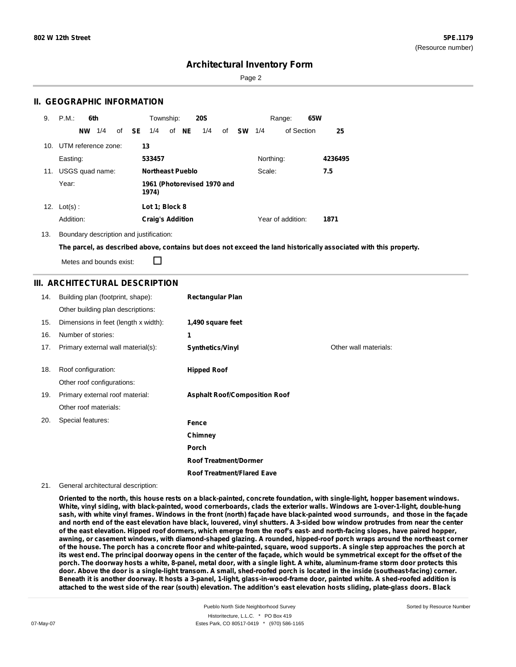Page 2

### **II. GEOGRAPHIC INFORMATION**

| 9.  | P.M.<br>6th             | Township:<br><b>20S</b>                   | 65W<br>Range:                  |         |
|-----|-------------------------|-------------------------------------------|--------------------------------|---------|
|     | 1/4<br><b>NW</b>        | of NE<br>of <b>SE</b><br>1/4<br>1/4<br>of | <b>SW</b><br>of Section<br>1/4 | 25      |
|     | 10. UTM reference zone: | 13                                        |                                |         |
|     | Easting:                | 533457                                    | Northing:                      | 4236495 |
| 11. | USGS quad name:         | <b>Northeast Pueblo</b>                   | Scale:                         | 7.5     |
|     | Year:                   | 1961 (Photorevised 1970 and<br>1974)      |                                |         |
| 12. | $Lot(s)$ :              | Lot 1; Block 8                            |                                |         |
|     | Addition:               | <b>Craig's Addition</b>                   | Year of addition:              | 1871    |

13. Boundary description and justification:

The parcel, as described above, contains but does not exceed the land historically associated with this property.

П Metes and bounds exist:

### **III. ARCHITECTURAL DESCRIPTION**

| 14. | Building plan (footprint, shape):    | <b>Rectangular Plan</b>              |                       |
|-----|--------------------------------------|--------------------------------------|-----------------------|
|     | Other building plan descriptions:    |                                      |                       |
| 15. | Dimensions in feet (length x width): | 1,490 square feet                    |                       |
| 16. | Number of stories:                   | 1                                    |                       |
| 17. | Primary external wall material(s):   | <b>Synthetics/Vinyl</b>              | Other wall materials: |
|     |                                      |                                      |                       |
| 18. | Roof configuration:                  | <b>Hipped Roof</b>                   |                       |
|     | Other roof configurations:           |                                      |                       |
| 19. | Primary external roof material:      | <b>Asphalt Roof/Composition Roof</b> |                       |
|     | Other roof materials:                |                                      |                       |
| 20. | Special features:                    | Fence                                |                       |
|     |                                      | Chimney                              |                       |
|     |                                      | Porch                                |                       |
|     |                                      | <b>Roof Treatment/Dormer</b>         |                       |
|     |                                      | <b>Roof Treatment/Flared Eave</b>    |                       |

#### 21. General architectural description:

Oriented to the north, this house rests on a black-painted, concrete foundation, with single-light, hopper basement windows. White, vinyl siding, with black-painted, wood cornerboards, clads the exterior walls. Windows are 1-over-1-light, double-hung sash, with white vinyl frames. Windows in the front (north) façade have black-painted wood surrounds, and those in the façade and north end of the east elevation have black, louvered, vinyl shutters. A 3-sided bow window protrudes from near the center of the east elevation. Hipped roof dormers, which emerge from the roof's east- and north-facing slopes, have paired hopper, awning, or casement windows, with diamond-shaped glazing. A rounded, hipped-roof porch wraps around the northeast corner of the house. The porch has a concrete floor and white-painted, square, wood supports. A single step approaches the porch at its west end. The principal doorway opens in the center of the façade, which would be symmetrical except for the offset of the porch. The doorway hosts a white, 8-panel, metal door, with a single light. A white, aluminum-frame storm door protects this door. Above the door is a single-light transom. A small, shed-roofed porch is located in the inside (southeast-facing) corner. Beneath it is another doorway. It hosts a 3-panel, 1-light, glass-in-wood-frame door, painted white. A shed-roofed addition is attached to the west side of the rear (south) elevation. The addition's east elevation hosts sliding, plate-glass doors. Black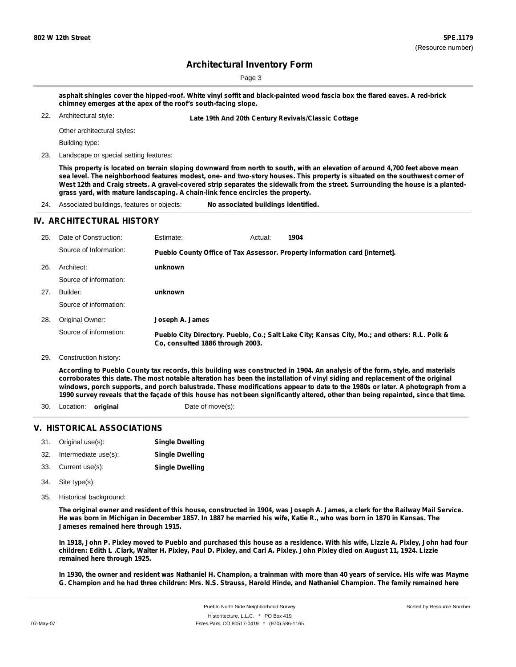Page 3

asphalt shingles cover the hipped-roof. White vinyl soffit and black-painted wood fascia box the flared eaves. A red-brick **chimney emerges at the apex of the roof's south-facing slope.**

Architectural style:

22. **Late 19th And 20th Century Revivals/Classic Cottage**

Other architectural styles:

Building type:

23. Landscape or special setting features:

This property is located on terrain sloping downward from north to south, with an elevation of around 4,700 feet above mean sea level. The neighborhood features modest, one- and two-story houses. This property is situated on the southwest corner of West 12th and Craig streets. A gravel-covered strip separates the sidewalk from the street. Surrounding the house is a planted**grass yard, with mature landscaping. A chain-link fence encircles the property.**

24. Associated buildings, features or objects: **No associated buildings identified.**

#### **IV. ARCHITECTURAL HISTORY**

| 25. | Date of Construction:  | Estimate:                        | Actual: | 1904                                                                                          |
|-----|------------------------|----------------------------------|---------|-----------------------------------------------------------------------------------------------|
|     | Source of Information: |                                  |         | Pueblo County Office of Tax Assessor. Property information card [internet].                   |
| 26. | Architect:             | unknown                          |         |                                                                                               |
|     | Source of information: |                                  |         |                                                                                               |
| 27. | Builder:               | unknown                          |         |                                                                                               |
|     | Source of information: |                                  |         |                                                                                               |
| 28. | Original Owner:        | Joseph A. James                  |         |                                                                                               |
|     | Source of information: | Co. consulted 1886 through 2003. |         | Pueblo City Directory. Pueblo, Co.; Salt Lake City; Kansas City, Mo.; and others: R.L. Polk & |
| 29. | Construction history:  |                                  |         |                                                                                               |

According to Pueblo County tax records, this building was constructed in 1904. An analysis of the form, style, and materials corroborates this date. The most notable alteration has been the installation of vinyl siding and replacement of the original windows, porch supports, and porch balustrade. These modifications appear to date to the 1980s or later. A photograph from a 1990 survey reveals that the façade of this house has not been significantly altered, other than being repainted, since that time.

- 30. Location: **original** Date of move(s):
	-

#### **V. HISTORICAL ASSOCIATIONS**

| 31. | Original use(s):     | <b>Single Dwelling</b> |
|-----|----------------------|------------------------|
| 32. | Intermediate use(s): | <b>Single Dwelling</b> |
| 33. | Current use(s):      | <b>Single Dwelling</b> |

- Site type(s): 34.
- 35. Historical background:

The original owner and resident of this house, constructed in 1904, was Joseph A. James, a clerk for the Railway Mail Service. He was born in Michigan in December 1857. In 1887 he married his wife, Katie R., who was born in 1870 in Kansas. The **Jameses remained here through 1915.**

In 1918, John P. Pixley moved to Pueblo and purchased this house as a residence. With his wife, Lizzie A. Pixley, John had four children: Edith L.Clark, Walter H. Pixley, Paul D. Pixley, and Carl A. Pixley. John Pixley died on August 11, 1924. Lizzie **remained here through 1925.**

In 1930, the owner and resident was Nathaniel H. Champion, a trainman with more than 40 years of service. His wife was Mayme G. Champion and he had three children: Mrs. N.S. Strauss, Harold Hinde, and Nathaniel Champion. The family remained here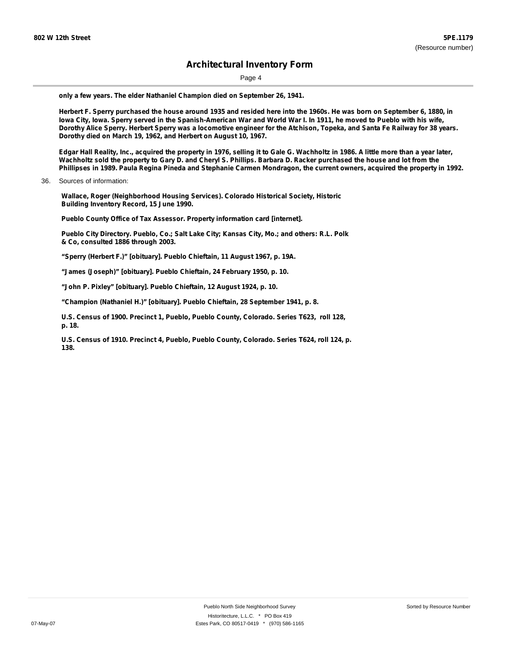Page 4

**only a few years. The elder Nathaniel Champion died on September 26, 1941.**

Herbert F. Sperry purchased the house around 1935 and resided here into the 1960s. He was born on September 6, 1880, in lowa City, Iowa. Sperry served in the Spanish-American War and World War I. In 1911, he moved to Pueblo with his wife, Dorothy Alice Sperry. Herbert Sperry was a locomotive engineer for the Atchison, Topeka, and Santa Fe Railway for 38 years. **Dorothy died on March 19, 1962, and Herbert on August 10, 1967.**

Edgar Hall Reality, Inc., acquired the property in 1976, selling it to Gale G. Wachholtz in 1986. A little more than a year later, Wachholtz sold the property to Gary D. and Cheryl S. Phillips. Barbara D. Racker purchased the house and lot from the Phillipses in 1989. Paula Regina Pineda and Stephanie Carmen Mondragon, the current owners, acquired the property in 1992.

36. Sources of information:

**Wallace, Roger (Neighborhood Housing Services). Colorado Historical Society, Historic Building Inventory Record, 15 June 1990.**

**Pueblo County Office of Tax Assessor. Property information card [internet].**

**Pueblo City Directory. Pueblo, Co.; Salt Lake City; Kansas City, Mo.; and others: R.L. Polk & Co, consulted 1886 through 2003.**

**"Sperry (Herbert F.)" [obituary]. Pueblo Chieftain, 11 August 1967, p. 19A.**

**"James (Joseph)" [obituary]. Pueblo Chieftain, 24 February 1950, p. 10.**

**"John P. Pixley" [obituary]. Pueblo Chieftain, 12 August 1924, p. 10.**

**"Champion (Nathaniel H.)" [obituary]. Pueblo Chieftain, 28 September 1941, p. 8.**

**U.S. Census of 1900. Precinct 1, Pueblo, Pueblo County, Colorado. Series T623, roll 128, p. 18.**

**U.S. Census of 1910. Precinct 4, Pueblo, Pueblo County, Colorado. Series T624, roll 124, p. 138.**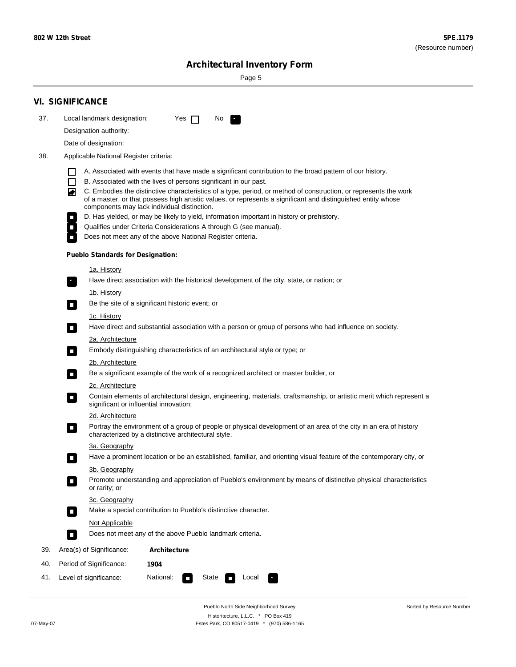÷

Sorted by Resource Number

# **Architectural Inventory Form**

Page 5

|                                                                                                                             | <b>VI. SIGNIFICANCE</b>                                                                                                                                                                                                                                                                                                                                                                                                                                                                                                                                                                                                                                                                                                |  |  |  |
|-----------------------------------------------------------------------------------------------------------------------------|------------------------------------------------------------------------------------------------------------------------------------------------------------------------------------------------------------------------------------------------------------------------------------------------------------------------------------------------------------------------------------------------------------------------------------------------------------------------------------------------------------------------------------------------------------------------------------------------------------------------------------------------------------------------------------------------------------------------|--|--|--|
| 37.                                                                                                                         | Local landmark designation:<br>Yes $\Box$<br>No.                                                                                                                                                                                                                                                                                                                                                                                                                                                                                                                                                                                                                                                                       |  |  |  |
|                                                                                                                             | Designation authority:                                                                                                                                                                                                                                                                                                                                                                                                                                                                                                                                                                                                                                                                                                 |  |  |  |
|                                                                                                                             | Date of designation:                                                                                                                                                                                                                                                                                                                                                                                                                                                                                                                                                                                                                                                                                                   |  |  |  |
| 38.                                                                                                                         | Applicable National Register criteria:                                                                                                                                                                                                                                                                                                                                                                                                                                                                                                                                                                                                                                                                                 |  |  |  |
|                                                                                                                             | A. Associated with events that have made a significant contribution to the broad pattern of our history.<br>l.<br>B. Associated with the lives of persons significant in our past.<br>$\Box$<br>C. Embodies the distinctive characteristics of a type, period, or method of construction, or represents the work<br>◙<br>of a master, or that possess high artistic values, or represents a significant and distinguished entity whose<br>components may lack individual distinction.<br>D. Has yielded, or may be likely to yield, information important in history or prehistory.<br>Qualifies under Criteria Considerations A through G (see manual).<br>Does not meet any of the above National Register criteria. |  |  |  |
|                                                                                                                             | <b>Pueblo Standards for Designation:</b>                                                                                                                                                                                                                                                                                                                                                                                                                                                                                                                                                                                                                                                                               |  |  |  |
|                                                                                                                             | 1a. History<br>Have direct association with the historical development of the city, state, or nation; or                                                                                                                                                                                                                                                                                                                                                                                                                                                                                                                                                                                                               |  |  |  |
|                                                                                                                             | <u>1b. History</u><br>Be the site of a significant historic event; or<br>$\mathcal{L}_{\mathcal{A}}$                                                                                                                                                                                                                                                                                                                                                                                                                                                                                                                                                                                                                   |  |  |  |
|                                                                                                                             | 1c. History<br>Have direct and substantial association with a person or group of persons who had influence on society.<br>$\blacksquare$                                                                                                                                                                                                                                                                                                                                                                                                                                                                                                                                                                               |  |  |  |
| 2a. Architecture<br>Embody distinguishing characteristics of an architectural style or type; or<br>$\overline{\phantom{a}}$ |                                                                                                                                                                                                                                                                                                                                                                                                                                                                                                                                                                                                                                                                                                                        |  |  |  |
|                                                                                                                             | 2b. Architecture<br>Be a significant example of the work of a recognized architect or master builder, or<br>$\sim$                                                                                                                                                                                                                                                                                                                                                                                                                                                                                                                                                                                                     |  |  |  |
|                                                                                                                             | 2c. Architecture                                                                                                                                                                                                                                                                                                                                                                                                                                                                                                                                                                                                                                                                                                       |  |  |  |
|                                                                                                                             | Contain elements of architectural design, engineering, materials, craftsmanship, or artistic merit which represent a<br>О<br>significant or influential innovation;                                                                                                                                                                                                                                                                                                                                                                                                                                                                                                                                                    |  |  |  |
|                                                                                                                             | 2d. Architecture                                                                                                                                                                                                                                                                                                                                                                                                                                                                                                                                                                                                                                                                                                       |  |  |  |
|                                                                                                                             | Portray the environment of a group of people or physical development of an area of the city in an era of history<br>$\Box$<br>characterized by a distinctive architectural style.                                                                                                                                                                                                                                                                                                                                                                                                                                                                                                                                      |  |  |  |
|                                                                                                                             | 3a. Geography                                                                                                                                                                                                                                                                                                                                                                                                                                                                                                                                                                                                                                                                                                          |  |  |  |
|                                                                                                                             | Have a prominent location or be an established, familiar, and orienting visual feature of the contemporary city, or                                                                                                                                                                                                                                                                                                                                                                                                                                                                                                                                                                                                    |  |  |  |
|                                                                                                                             | 3b. Geography<br>Promote understanding and appreciation of Pueblo's environment by means of distinctive physical characteristics<br>or rarity; or                                                                                                                                                                                                                                                                                                                                                                                                                                                                                                                                                                      |  |  |  |
|                                                                                                                             | 3c. Geography<br>Make a special contribution to Pueblo's distinctive character.<br>$\mathcal{L}_{\mathcal{A}}$                                                                                                                                                                                                                                                                                                                                                                                                                                                                                                                                                                                                         |  |  |  |
|                                                                                                                             | Not Applicable<br>Does not meet any of the above Pueblo landmark criteria.<br>$\overline{\phantom{a}}$                                                                                                                                                                                                                                                                                                                                                                                                                                                                                                                                                                                                                 |  |  |  |
| 39.                                                                                                                         | Area(s) of Significance:<br><b>Architecture</b>                                                                                                                                                                                                                                                                                                                                                                                                                                                                                                                                                                                                                                                                        |  |  |  |
| 40.                                                                                                                         | Period of Significance:<br>1904                                                                                                                                                                                                                                                                                                                                                                                                                                                                                                                                                                                                                                                                                        |  |  |  |
| 41.                                                                                                                         | National:<br>Level of significance:<br>State<br>Local<br>т,<br>П                                                                                                                                                                                                                                                                                                                                                                                                                                                                                                                                                                                                                                                       |  |  |  |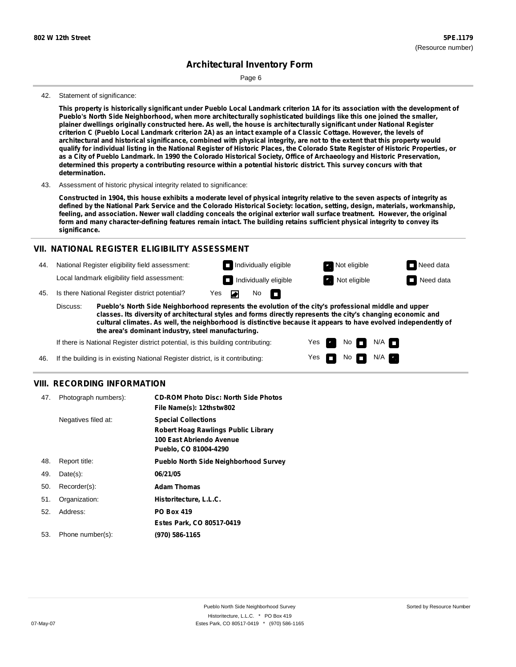Page 6

#### 42. Statement of significance:

This property is historically significant under Pueblo Local Landmark criterion 1A for its association with the development of **Pueblo's North Side Neighborhood, when more architecturally sophisticated buildings like this one joined the smaller,** plainer dwellings originally constructed here. As well, the house is architecturally significant under National Register criterion C (Pueblo Local Landmark criterion 2A) as an intact example of a Classic Cottage. However, the levels of architectural and historical significance, combined with physical integrity, are not to the extent that this property would qualify for individual listing in the National Register of Historic Places, the Colorado State Register of Historic Properties, or as a City of Pueblo Landmark. In 1990 the Colorado Historical Society, Office of Archaeology and Historic Preservation, determined this property a contributing resource within a potential historic district. This survey concurs with that **determination.**

43. Assessment of historic physical integrity related to significance:

Constructed in 1904, this house exhibits a moderate level of physical integrity relative to the seven aspects of integrity as defined by the National Park Service and the Colorado Historical Society: location, setting, design, materials, workmanship, feeling, and association. Newer wall cladding conceals the original exterior wall surface treatment. However, the original form and many character-defining features remain intact. The building retains sufficient physical integrity to convey its **significance.**

#### **VII. NATIONAL REGISTER ELIGIBILITY ASSESSMENT**

44. National Register eligibility field assessment:

Local landmark eligibility field assessment:

45. Is there National Register district potential? Yes

**Pueblo's North Side Neighborhood represents the evolution of the city's professional middle and upper classes. Its diversity of architectural styles and forms directly represents the city's changing economic and cultural climates. As well, the neighborhood is distinctive because it appears to have evolved independently of the area's dominant industry, steel manufacturing.** Discuss:

◚

 $No$   $\Box$ 

Yes Yes No

**Individually eligible Not eligible** Not eligible **Need data Individually eligible Not eligible** Not eligible **Need data** 

 $No$   $N/A$   $n$ 

 $N/A$ 

If there is National Register district potential, is this building contributing:

If the building is in existing National Register district, is it contributing: 46.

#### **VIII. RECORDING INFORMATION**

| 47. | Photograph numbers): | <b>CD-ROM Photo Disc: North Side Photos</b>  |
|-----|----------------------|----------------------------------------------|
|     |                      | File Name(s): 12thstw802                     |
|     | Negatives filed at:  | <b>Special Collections</b>                   |
|     |                      | <b>Robert Hoag Rawlings Public Library</b>   |
|     |                      | 100 East Abriendo Avenue                     |
|     |                      | Pueblo, CO 81004-4290                        |
| 48. | Report title:        | <b>Pueblo North Side Neighborhood Survey</b> |
| 49. | $Date(s)$ :          | 06/21/05                                     |
| 50. | Recorder(s):         | <b>Adam Thomas</b>                           |
| 51. | Organization:        | Historitecture, L.L.C.                       |
| 52. | Address:             | <b>PO Box 419</b>                            |
|     |                      | Estes Park, CO 80517-0419                    |
| 53. | Phone number(s):     | (970) 586-1165                               |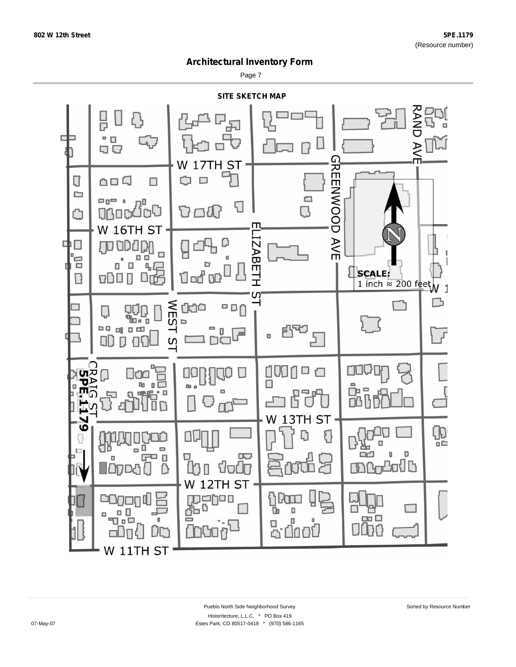Page 7